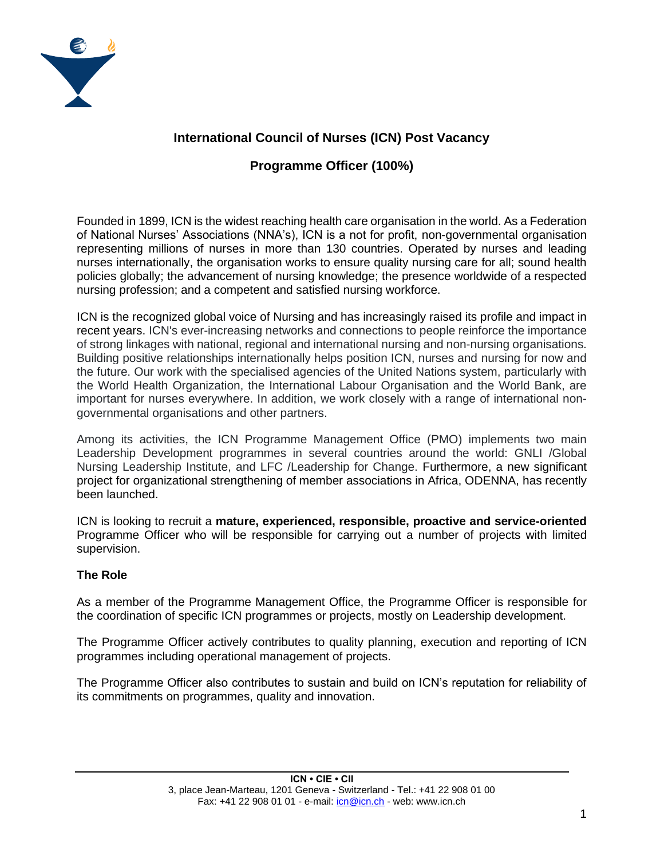

# **International Council of Nurses (ICN) Post Vacancy**

# **Programme Officer (100%)**

Founded in 1899, ICN is the widest reaching health care organisation in the world. As a Federation of National Nurses' Associations (NNA's), ICN is a not for profit, non-governmental organisation representing millions of nurses in more than 130 countries. Operated by nurses and leading nurses internationally, the organisation works to ensure quality nursing care for all; sound health policies globally; the advancement of nursing knowledge; the presence worldwide of a respected nursing profession; and a competent and satisfied nursing workforce.

ICN is the recognized global voice of Nursing and has increasingly raised its profile and impact in recent years. ICN's ever-increasing networks and connections to people reinforce the importance of strong linkages with national, regional and international nursing and non-nursing organisations. Building positive relationships internationally helps position ICN, nurses and nursing for now and the future. Our work with the specialised agencies of the United Nations system, particularly with the World Health Organization, the International Labour Organisation and the World Bank, are important for nurses everywhere. In addition, we work closely with a range of international nongovernmental organisations and other partners.

Among its activities, the ICN Programme Management Office (PMO) implements two main Leadership Development programmes in several countries around the world: GNLI /Global Nursing Leadership Institute, and LFC /Leadership for Change. Furthermore, a new significant project for organizational strengthening of member associations in Africa, ODENNA, has recently been launched.

ICN is looking to recruit a **mature, experienced, responsible, proactive and service-oriented** Programme Officer who will be responsible for carrying out a number of projects with limited supervision.

## **The Role**

As a member of the Programme Management Office, the Programme Officer is responsible for the coordination of specific ICN programmes or projects, mostly on Leadership development.

The Programme Officer actively contributes to quality planning, execution and reporting of ICN programmes including operational management of projects.

The Programme Officer also contributes to sustain and build on ICN's reputation for reliability of its commitments on programmes, quality and innovation.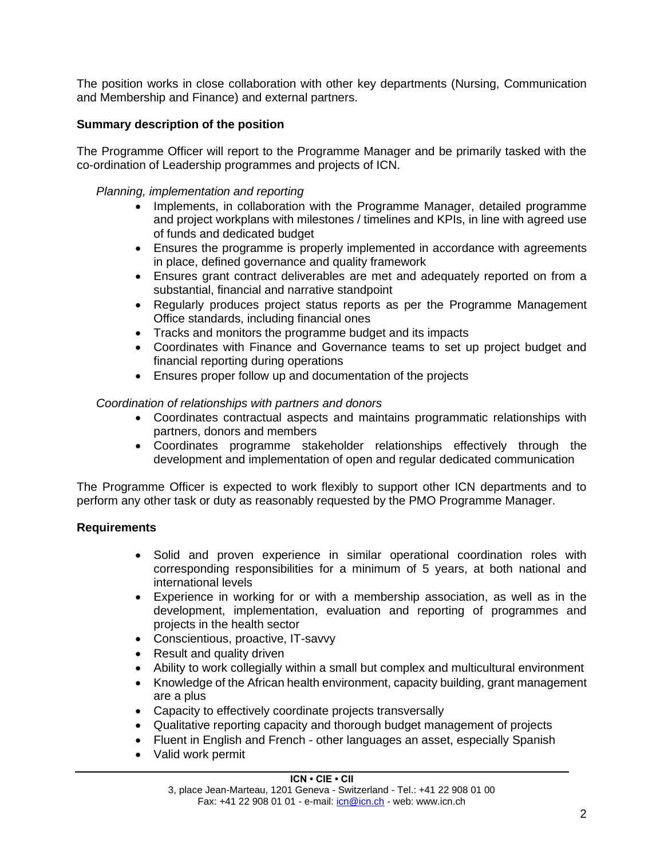The position works in close collaboration with other key departments (Nursing, Communication and Membership and Finance) and external partners.

### **Summary description of the position**

The Programme Officer will report to the Programme Manager and be primarily tasked with the co-ordination of Leadership programmes and projects of ICN.

### *Planning, implementation and reporting*

- Implements, in collaboration with the Programme Manager, detailed programme and project workplans with milestones / timelines and KPIs, in line with agreed use of funds and dedicated budget
- Ensures the programme is properly implemented in accordance with agreements in place, defined governance and quality framework
- Ensures grant contract deliverables are met and adequately reported on from a substantial, financial and narrative standpoint
- Regularly produces project status reports as per the Programme Management Office standards, including financial ones
- Tracks and monitors the programme budget and its impacts
- Coordinates with Finance and Governance teams to set up project budget and financial reporting during operations
- Ensures proper follow up and documentation of the projects

#### *Coordination of relationships with partners and donors*

- Coordinates contractual aspects and maintains programmatic relationships with partners, donors and members
- Coordinates programme stakeholder relationships effectively through the development and implementation of open and regular dedicated communication

The Programme Officer is expected to work flexibly to support other ICN departments and to perform any other task or duty as reasonably requested by the PMO Programme Manager.

#### **Requirements**

- Solid and proven experience in similar operational coordination roles with corresponding responsibilities for a minimum of 5 years, at both national and international levels
- Experience in working for or with a membership association, as well as in the development, implementation, evaluation and reporting of programmes and projects in the health sector
- Conscientious, proactive, IT-savvy
- Result and quality driven
- Ability to work collegially within a small but complex and multicultural environment
- Knowledge of the African health environment, capacity building, grant management are a plus
- Capacity to effectively coordinate projects transversally
- Qualitative reporting capacity and thorough budget management of projects
- Fluent in English and French other languages an asset, especially Spanish
- Valid work permit

#### **ICN • CIE • CII**